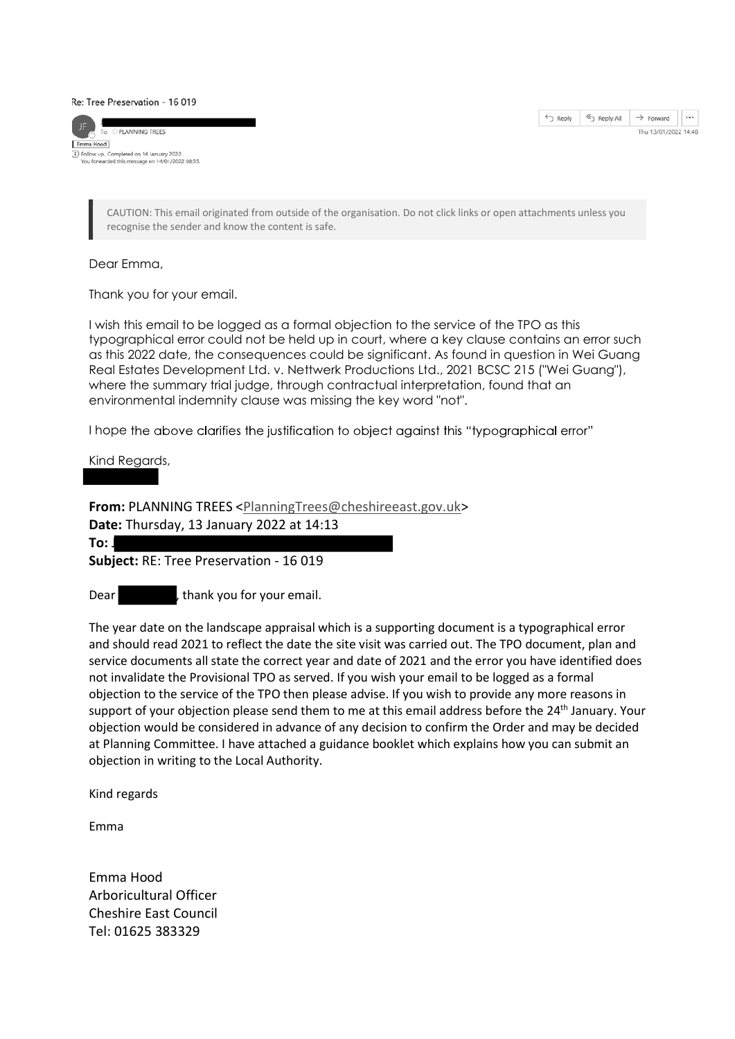Re: Tree Preservation - 16 019





CAUTION: This email originated from outside of the organisation. Do not click links or open attachments unless you recognise the sender and know the content is safe.

Dear Emma,

Thank you for your email.

I wish this email to be logged as a formal objection to the service of the TPO as this typographical error could not be held up in court, where a key clause contains an error such as this 2022 date, the consequences could be significant. As found in question in Wei Guang Real Estates Development Ltd. v. Nettwerk Productions Ltd., 2021 BCSC 215 ("Wei Guang"), where the summary trial judge, through contractual interpretation, found that an environmental indemnity clause was missing the key word "not".

I hope the above clarifies the justification to object against this "typographical error"

Kind Regards,

From: PLANNING TREES <PlanningTrees@cheshireeast.gov.uk> Date: Thursday, 13 January 2022 at 14:13 To: Joe  $\mathcal{F}$ Subject: RE: Tree Preservation - 16 019

Dear bear between thank you for your email.

The year date on the landscape appraisal which is a supporting document is a typographical error and should read 2021 to reflect the date the site visit was carried out. The TPO document, plan and service documents all state the correct year and date of 2021 and the error you have identified does not invalidate the Provisional TPO as served. If you wish your email to be logged as a formal objection to the service of the TPO then please advise. If you wish to provide any more reasons in support of your objection please send them to me at this email address before the 24<sup>th</sup> January. Your objection would be considered in advance of any decision to confirm the Order and may be decided at Planning Committee. I have attached a guidance booklet which explains how you can submit an objection in writing to the Local Authority.

Kind regards

Emma

Emma Hood Arboricultural Officer Cheshire East Council Tel: 01625 383329